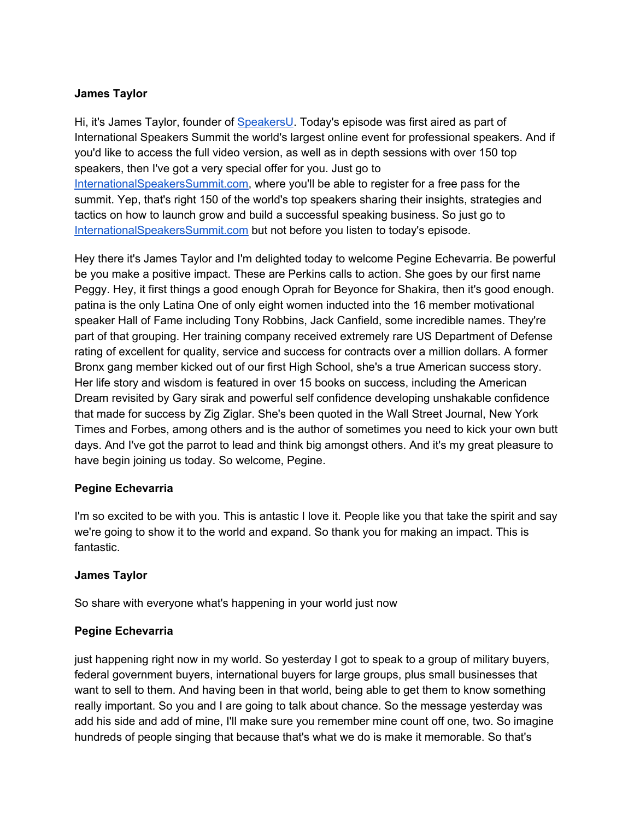#### **James Taylor**

Hi, it's James Taylor, founder of [SpeakersU.](https://speakersu.com/) Today's episode was first aired as part of International Speakers Summit the world's largest online event for professional speakers. And if you'd like to access the full video version, as well as in depth sessions with over 150 top speakers, then I've got a very special offer for you. Just go to [InternationalSpeakersSummit.com](http://internationalspeakerssummit.com/), where you'll be able to register for a free pass for the summit. Yep, that's right 150 of the world's top speakers sharing their insights, strategies and tactics on how to launch grow and build a successful speaking business. So just go t[o](http://internationalspeakerssummit.com/) [InternationalSpeakersSummit.com](http://internationalspeakerssummit.com/) but not before you listen to today's episode.

Hey there it's James Taylor and I'm delighted today to welcome Pegine Echevarria. Be powerful be you make a positive impact. These are Perkins calls to action. She goes by our first name Peggy. Hey, it first things a good enough Oprah for Beyonce for Shakira, then it's good enough. patina is the only Latina One of only eight women inducted into the 16 member motivational speaker Hall of Fame including Tony Robbins, Jack Canfield, some incredible names. They're part of that grouping. Her training company received extremely rare US Department of Defense rating of excellent for quality, service and success for contracts over a million dollars. A former Bronx gang member kicked out of our first High School, she's a true American success story. Her life story and wisdom is featured in over 15 books on success, including the American Dream revisited by Gary sirak and powerful self confidence developing unshakable confidence that made for success by Zig Ziglar. She's been quoted in the Wall Street Journal, New York Times and Forbes, among others and is the author of sometimes you need to kick your own butt days. And I've got the parrot to lead and think big amongst others. And it's my great pleasure to have begin joining us today. So welcome, Pegine.

#### **Pegine Echevarria**

I'm so excited to be with you. This is antastic I love it. People like you that take the spirit and say we're going to show it to the world and expand. So thank you for making an impact. This is fantastic.

# **James Taylor**

So share with everyone what's happening in your world just now

# **Pegine Echevarria**

just happening right now in my world. So yesterday I got to speak to a group of military buyers, federal government buyers, international buyers for large groups, plus small businesses that want to sell to them. And having been in that world, being able to get them to know something really important. So you and I are going to talk about chance. So the message yesterday was add his side and add of mine, I'll make sure you remember mine count off one, two. So imagine hundreds of people singing that because that's what we do is make it memorable. So that's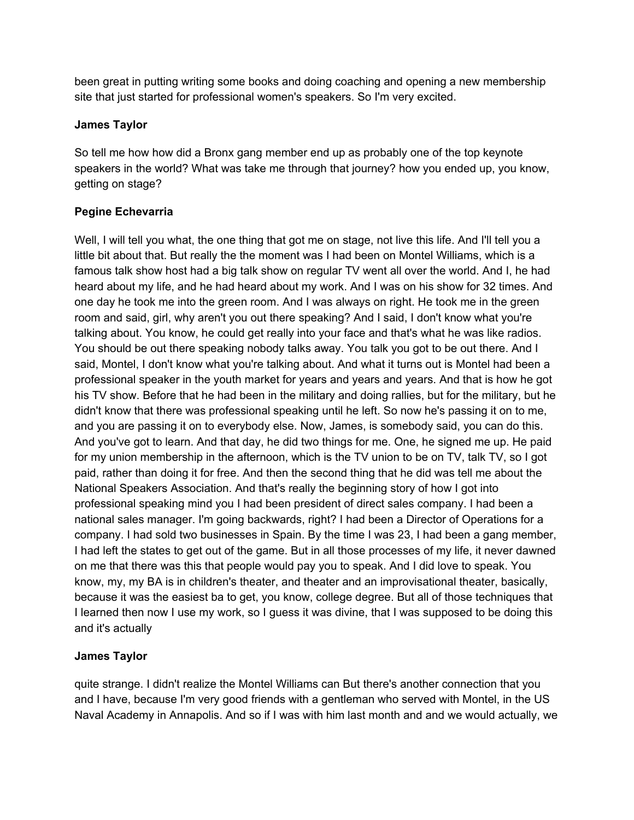been great in putting writing some books and doing coaching and opening a new membership site that just started for professional women's speakers. So I'm very excited.

#### **James Taylor**

So tell me how how did a Bronx gang member end up as probably one of the top keynote speakers in the world? What was take me through that journey? how you ended up, you know, getting on stage?

# **Pegine Echevarria**

Well, I will tell you what, the one thing that got me on stage, not live this life. And I'll tell you a little bit about that. But really the the moment was I had been on Montel Williams, which is a famous talk show host had a big talk show on regular TV went all over the world. And I, he had heard about my life, and he had heard about my work. And I was on his show for 32 times. And one day he took me into the green room. And I was always on right. He took me in the green room and said, girl, why aren't you out there speaking? And I said, I don't know what you're talking about. You know, he could get really into your face and that's what he was like radios. You should be out there speaking nobody talks away. You talk you got to be out there. And I said, Montel, I don't know what you're talking about. And what it turns out is Montel had been a professional speaker in the youth market for years and years and years. And that is how he got his TV show. Before that he had been in the military and doing rallies, but for the military, but he didn't know that there was professional speaking until he left. So now he's passing it on to me, and you are passing it on to everybody else. Now, James, is somebody said, you can do this. And you've got to learn. And that day, he did two things for me. One, he signed me up. He paid for my union membership in the afternoon, which is the TV union to be on TV, talk TV, so I got paid, rather than doing it for free. And then the second thing that he did was tell me about the National Speakers Association. And that's really the beginning story of how I got into professional speaking mind you I had been president of direct sales company. I had been a national sales manager. I'm going backwards, right? I had been a Director of Operations for a company. I had sold two businesses in Spain. By the time I was 23, I had been a gang member, I had left the states to get out of the game. But in all those processes of my life, it never dawned on me that there was this that people would pay you to speak. And I did love to speak. You know, my, my BA is in children's theater, and theater and an improvisational theater, basically, because it was the easiest ba to get, you know, college degree. But all of those techniques that I learned then now I use my work, so I guess it was divine, that I was supposed to be doing this and it's actually

# **James Taylor**

quite strange. I didn't realize the Montel Williams can But there's another connection that you and I have, because I'm very good friends with a gentleman who served with Montel, in the US Naval Academy in Annapolis. And so if I was with him last month and and we would actually, we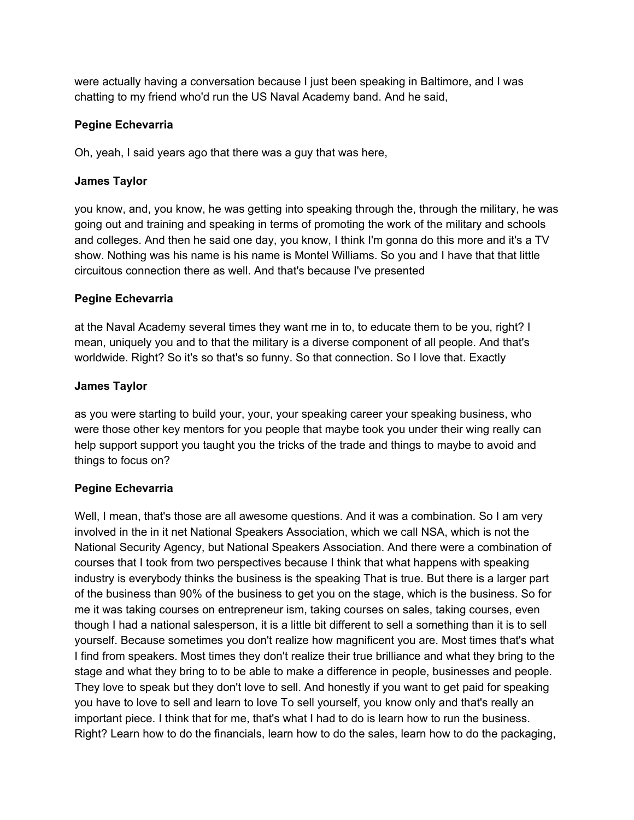were actually having a conversation because I just been speaking in Baltimore, and I was chatting to my friend who'd run the US Naval Academy band. And he said,

#### **Pegine Echevarria**

Oh, yeah, I said years ago that there was a guy that was here,

#### **James Taylor**

you know, and, you know, he was getting into speaking through the, through the military, he was going out and training and speaking in terms of promoting the work of the military and schools and colleges. And then he said one day, you know, I think I'm gonna do this more and it's a TV show. Nothing was his name is his name is Montel Williams. So you and I have that that little circuitous connection there as well. And that's because I've presented

#### **Pegine Echevarria**

at the Naval Academy several times they want me in to, to educate them to be you, right? I mean, uniquely you and to that the military is a diverse component of all people. And that's worldwide. Right? So it's so that's so funny. So that connection. So I love that. Exactly

#### **James Taylor**

as you were starting to build your, your, your speaking career your speaking business, who were those other key mentors for you people that maybe took you under their wing really can help support support you taught you the tricks of the trade and things to maybe to avoid and things to focus on?

# **Pegine Echevarria**

Well, I mean, that's those are all awesome questions. And it was a combination. So I am very involved in the in it net National Speakers Association, which we call NSA, which is not the National Security Agency, but National Speakers Association. And there were a combination of courses that I took from two perspectives because I think that what happens with speaking industry is everybody thinks the business is the speaking That is true. But there is a larger part of the business than 90% of the business to get you on the stage, which is the business. So for me it was taking courses on entrepreneur ism, taking courses on sales, taking courses, even though I had a national salesperson, it is a little bit different to sell a something than it is to sell yourself. Because sometimes you don't realize how magnificent you are. Most times that's what I find from speakers. Most times they don't realize their true brilliance and what they bring to the stage and what they bring to to be able to make a difference in people, businesses and people. They love to speak but they don't love to sell. And honestly if you want to get paid for speaking you have to love to sell and learn to love To sell yourself, you know only and that's really an important piece. I think that for me, that's what I had to do is learn how to run the business. Right? Learn how to do the financials, learn how to do the sales, learn how to do the packaging,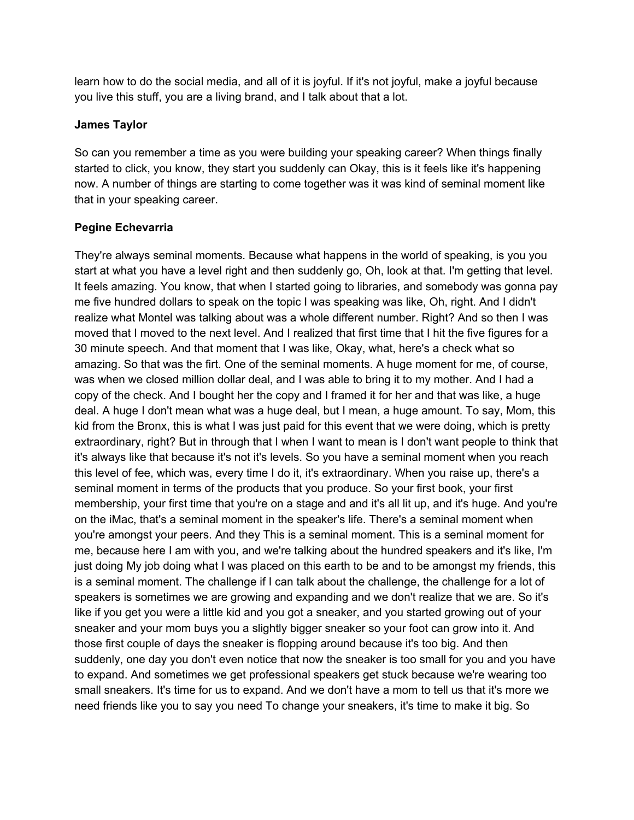learn how to do the social media, and all of it is joyful. If it's not joyful, make a joyful because you live this stuff, you are a living brand, and I talk about that a lot.

#### **James Taylor**

So can you remember a time as you were building your speaking career? When things finally started to click, you know, they start you suddenly can Okay, this is it feels like it's happening now. A number of things are starting to come together was it was kind of seminal moment like that in your speaking career.

#### **Pegine Echevarria**

They're always seminal moments. Because what happens in the world of speaking, is you you start at what you have a level right and then suddenly go, Oh, look at that. I'm getting that level. It feels amazing. You know, that when I started going to libraries, and somebody was gonna pay me five hundred dollars to speak on the topic I was speaking was like, Oh, right. And I didn't realize what Montel was talking about was a whole different number. Right? And so then I was moved that I moved to the next level. And I realized that first time that I hit the five figures for a 30 minute speech. And that moment that I was like, Okay, what, here's a check what so amazing. So that was the firt. One of the seminal moments. A huge moment for me, of course, was when we closed million dollar deal, and I was able to bring it to my mother. And I had a copy of the check. And I bought her the copy and I framed it for her and that was like, a huge deal. A huge I don't mean what was a huge deal, but I mean, a huge amount. To say, Mom, this kid from the Bronx, this is what I was just paid for this event that we were doing, which is pretty extraordinary, right? But in through that I when I want to mean is I don't want people to think that it's always like that because it's not it's levels. So you have a seminal moment when you reach this level of fee, which was, every time I do it, it's extraordinary. When you raise up, there's a seminal moment in terms of the products that you produce. So your first book, your first membership, your first time that you're on a stage and and it's all lit up, and it's huge. And you're on the iMac, that's a seminal moment in the speaker's life. There's a seminal moment when you're amongst your peers. And they This is a seminal moment. This is a seminal moment for me, because here I am with you, and we're talking about the hundred speakers and it's like, I'm just doing My job doing what I was placed on this earth to be and to be amongst my friends, this is a seminal moment. The challenge if I can talk about the challenge, the challenge for a lot of speakers is sometimes we are growing and expanding and we don't realize that we are. So it's like if you get you were a little kid and you got a sneaker, and you started growing out of your sneaker and your mom buys you a slightly bigger sneaker so your foot can grow into it. And those first couple of days the sneaker is flopping around because it's too big. And then suddenly, one day you don't even notice that now the sneaker is too small for you and you have to expand. And sometimes we get professional speakers get stuck because we're wearing too small sneakers. It's time for us to expand. And we don't have a mom to tell us that it's more we need friends like you to say you need To change your sneakers, it's time to make it big. So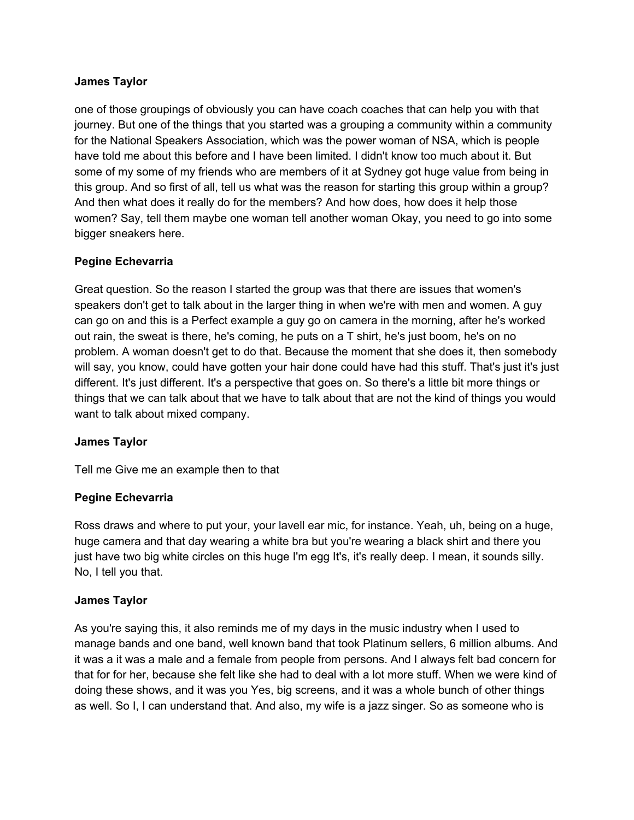#### **James Taylor**

one of those groupings of obviously you can have coach coaches that can help you with that journey. But one of the things that you started was a grouping a community within a community for the National Speakers Association, which was the power woman of NSA, which is people have told me about this before and I have been limited. I didn't know too much about it. But some of my some of my friends who are members of it at Sydney got huge value from being in this group. And so first of all, tell us what was the reason for starting this group within a group? And then what does it really do for the members? And how does, how does it help those women? Say, tell them maybe one woman tell another woman Okay, you need to go into some bigger sneakers here.

#### **Pegine Echevarria**

Great question. So the reason I started the group was that there are issues that women's speakers don't get to talk about in the larger thing in when we're with men and women. A guy can go on and this is a Perfect example a guy go on camera in the morning, after he's worked out rain, the sweat is there, he's coming, he puts on a T shirt, he's just boom, he's on no problem. A woman doesn't get to do that. Because the moment that she does it, then somebody will say, you know, could have gotten your hair done could have had this stuff. That's just it's just different. It's just different. It's a perspective that goes on. So there's a little bit more things or things that we can talk about that we have to talk about that are not the kind of things you would want to talk about mixed company.

#### **James Taylor**

Tell me Give me an example then to that

# **Pegine Echevarria**

Ross draws and where to put your, your lavell ear mic, for instance. Yeah, uh, being on a huge, huge camera and that day wearing a white bra but you're wearing a black shirt and there you just have two big white circles on this huge I'm egg It's, it's really deep. I mean, it sounds silly. No, I tell you that.

# **James Taylor**

As you're saying this, it also reminds me of my days in the music industry when I used to manage bands and one band, well known band that took Platinum sellers, 6 million albums. And it was a it was a male and a female from people from persons. And I always felt bad concern for that for for her, because she felt like she had to deal with a lot more stuff. When we were kind of doing these shows, and it was you Yes, big screens, and it was a whole bunch of other things as well. So I, I can understand that. And also, my wife is a jazz singer. So as someone who is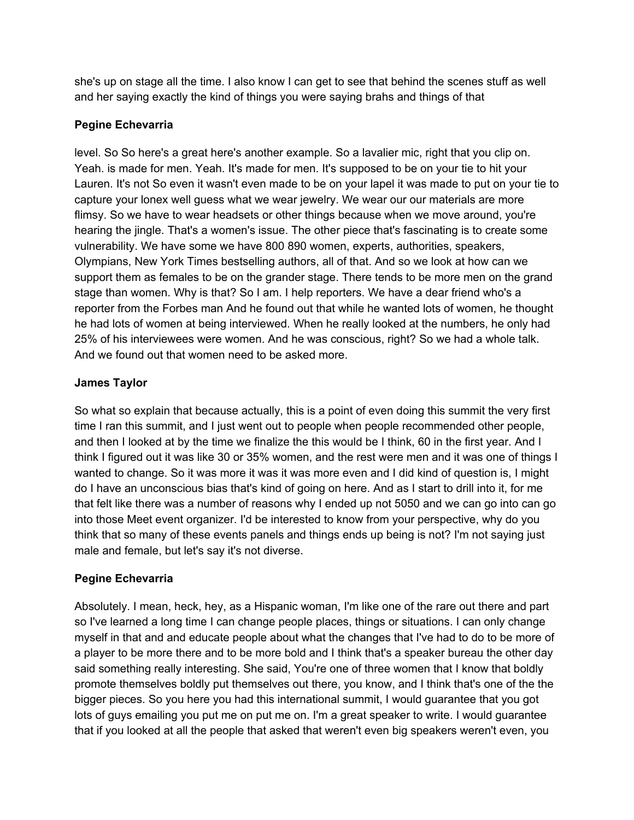she's up on stage all the time. I also know I can get to see that behind the scenes stuff as well and her saying exactly the kind of things you were saying brahs and things of that

# **Pegine Echevarria**

level. So So here's a great here's another example. So a lavalier mic, right that you clip on. Yeah. is made for men. Yeah. It's made for men. It's supposed to be on your tie to hit your Lauren. It's not So even it wasn't even made to be on your lapel it was made to put on your tie to capture your lonex well guess what we wear jewelry. We wear our our materials are more flimsy. So we have to wear headsets or other things because when we move around, you're hearing the jingle. That's a women's issue. The other piece that's fascinating is to create some vulnerability. We have some we have 800 890 women, experts, authorities, speakers, Olympians, New York Times bestselling authors, all of that. And so we look at how can we support them as females to be on the grander stage. There tends to be more men on the grand stage than women. Why is that? So I am. I help reporters. We have a dear friend who's a reporter from the Forbes man And he found out that while he wanted lots of women, he thought he had lots of women at being interviewed. When he really looked at the numbers, he only had 25% of his interviewees were women. And he was conscious, right? So we had a whole talk. And we found out that women need to be asked more.

# **James Taylor**

So what so explain that because actually, this is a point of even doing this summit the very first time I ran this summit, and I just went out to people when people recommended other people, and then I looked at by the time we finalize the this would be I think, 60 in the first year. And I think I figured out it was like 30 or 35% women, and the rest were men and it was one of things I wanted to change. So it was more it was it was more even and I did kind of question is, I might do I have an unconscious bias that's kind of going on here. And as I start to drill into it, for me that felt like there was a number of reasons why I ended up not 5050 and we can go into can go into those Meet event organizer. I'd be interested to know from your perspective, why do you think that so many of these events panels and things ends up being is not? I'm not saying just male and female, but let's say it's not diverse.

# **Pegine Echevarria**

Absolutely. I mean, heck, hey, as a Hispanic woman, I'm like one of the rare out there and part so I've learned a long time I can change people places, things or situations. I can only change myself in that and and educate people about what the changes that I've had to do to be more of a player to be more there and to be more bold and I think that's a speaker bureau the other day said something really interesting. She said, You're one of three women that I know that boldly promote themselves boldly put themselves out there, you know, and I think that's one of the the bigger pieces. So you here you had this international summit, I would guarantee that you got lots of guys emailing you put me on put me on. I'm a great speaker to write. I would guarantee that if you looked at all the people that asked that weren't even big speakers weren't even, you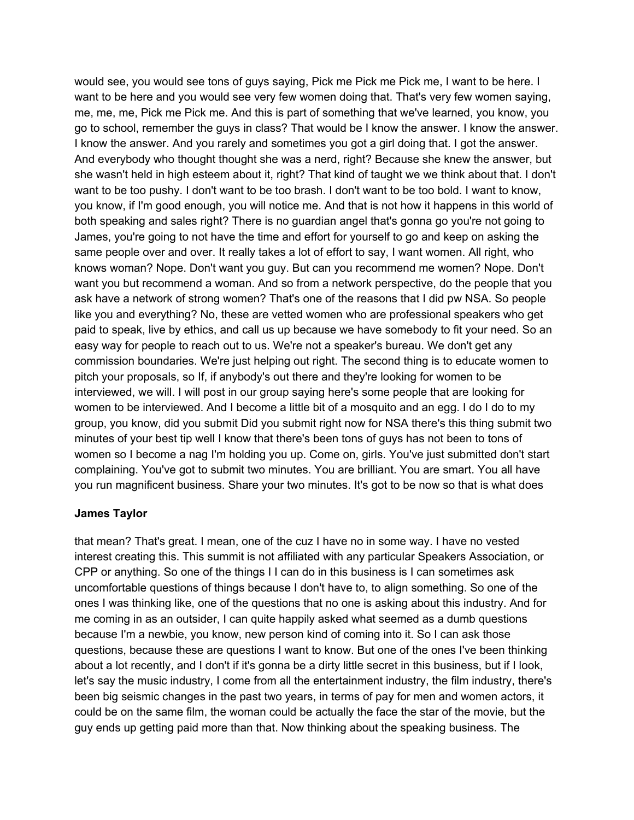would see, you would see tons of guys saying, Pick me Pick me Pick me, I want to be here. I want to be here and you would see very few women doing that. That's very few women saying, me, me, me, Pick me Pick me. And this is part of something that we've learned, you know, you go to school, remember the guys in class? That would be I know the answer. I know the answer. I know the answer. And you rarely and sometimes you got a girl doing that. I got the answer. And everybody who thought thought she was a nerd, right? Because she knew the answer, but she wasn't held in high esteem about it, right? That kind of taught we we think about that. I don't want to be too pushy. I don't want to be too brash. I don't want to be too bold. I want to know, you know, if I'm good enough, you will notice me. And that is not how it happens in this world of both speaking and sales right? There is no guardian angel that's gonna go you're not going to James, you're going to not have the time and effort for yourself to go and keep on asking the same people over and over. It really takes a lot of effort to say, I want women. All right, who knows woman? Nope. Don't want you guy. But can you recommend me women? Nope. Don't want you but recommend a woman. And so from a network perspective, do the people that you ask have a network of strong women? That's one of the reasons that I did pw NSA. So people like you and everything? No, these are vetted women who are professional speakers who get paid to speak, live by ethics, and call us up because we have somebody to fit your need. So an easy way for people to reach out to us. We're not a speaker's bureau. We don't get any commission boundaries. We're just helping out right. The second thing is to educate women to pitch your proposals, so If, if anybody's out there and they're looking for women to be interviewed, we will. I will post in our group saying here's some people that are looking for women to be interviewed. And I become a little bit of a mosquito and an egg. I do I do to my group, you know, did you submit Did you submit right now for NSA there's this thing submit two minutes of your best tip well I know that there's been tons of guys has not been to tons of women so I become a nag I'm holding you up. Come on, girls. You've just submitted don't start complaining. You've got to submit two minutes. You are brilliant. You are smart. You all have you run magnificent business. Share your two minutes. It's got to be now so that is what does

#### **James Taylor**

that mean? That's great. I mean, one of the cuz I have no in some way. I have no vested interest creating this. This summit is not affiliated with any particular Speakers Association, or CPP or anything. So one of the things I I can do in this business is I can sometimes ask uncomfortable questions of things because I don't have to, to align something. So one of the ones I was thinking like, one of the questions that no one is asking about this industry. And for me coming in as an outsider, I can quite happily asked what seemed as a dumb questions because I'm a newbie, you know, new person kind of coming into it. So I can ask those questions, because these are questions I want to know. But one of the ones I've been thinking about a lot recently, and I don't if it's gonna be a dirty little secret in this business, but if I look, let's say the music industry, I come from all the entertainment industry, the film industry, there's been big seismic changes in the past two years, in terms of pay for men and women actors, it could be on the same film, the woman could be actually the face the star of the movie, but the guy ends up getting paid more than that. Now thinking about the speaking business. The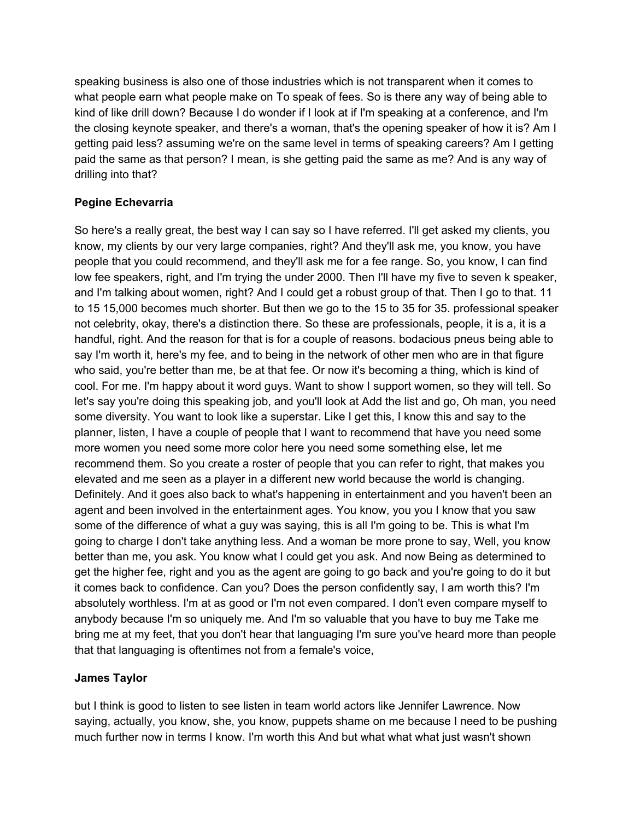speaking business is also one of those industries which is not transparent when it comes to what people earn what people make on To speak of fees. So is there any way of being able to kind of like drill down? Because I do wonder if I look at if I'm speaking at a conference, and I'm the closing keynote speaker, and there's a woman, that's the opening speaker of how it is? Am I getting paid less? assuming we're on the same level in terms of speaking careers? Am I getting paid the same as that person? I mean, is she getting paid the same as me? And is any way of drilling into that?

# **Pegine Echevarria**

So here's a really great, the best way I can say so I have referred. I'll get asked my clients, you know, my clients by our very large companies, right? And they'll ask me, you know, you have people that you could recommend, and they'll ask me for a fee range. So, you know, I can find low fee speakers, right, and I'm trying the under 2000. Then I'll have my five to seven k speaker, and I'm talking about women, right? And I could get a robust group of that. Then I go to that. 11 to 15 15,000 becomes much shorter. But then we go to the 15 to 35 for 35. professional speaker not celebrity, okay, there's a distinction there. So these are professionals, people, it is a, it is a handful, right. And the reason for that is for a couple of reasons. bodacious pneus being able to say I'm worth it, here's my fee, and to being in the network of other men who are in that figure who said, you're better than me, be at that fee. Or now it's becoming a thing, which is kind of cool. For me. I'm happy about it word guys. Want to show I support women, so they will tell. So let's say you're doing this speaking job, and you'll look at Add the list and go, Oh man, you need some diversity. You want to look like a superstar. Like I get this, I know this and say to the planner, listen, I have a couple of people that I want to recommend that have you need some more women you need some more color here you need some something else, let me recommend them. So you create a roster of people that you can refer to right, that makes you elevated and me seen as a player in a different new world because the world is changing. Definitely. And it goes also back to what's happening in entertainment and you haven't been an agent and been involved in the entertainment ages. You know, you you I know that you saw some of the difference of what a guy was saying, this is all I'm going to be. This is what I'm going to charge I don't take anything less. And a woman be more prone to say, Well, you know better than me, you ask. You know what I could get you ask. And now Being as determined to get the higher fee, right and you as the agent are going to go back and you're going to do it but it comes back to confidence. Can you? Does the person confidently say, I am worth this? I'm absolutely worthless. I'm at as good or I'm not even compared. I don't even compare myself to anybody because I'm so uniquely me. And I'm so valuable that you have to buy me Take me bring me at my feet, that you don't hear that languaging I'm sure you've heard more than people that that languaging is oftentimes not from a female's voice,

# **James Taylor**

but I think is good to listen to see listen in team world actors like Jennifer Lawrence. Now saying, actually, you know, she, you know, puppets shame on me because I need to be pushing much further now in terms I know. I'm worth this And but what what what just wasn't shown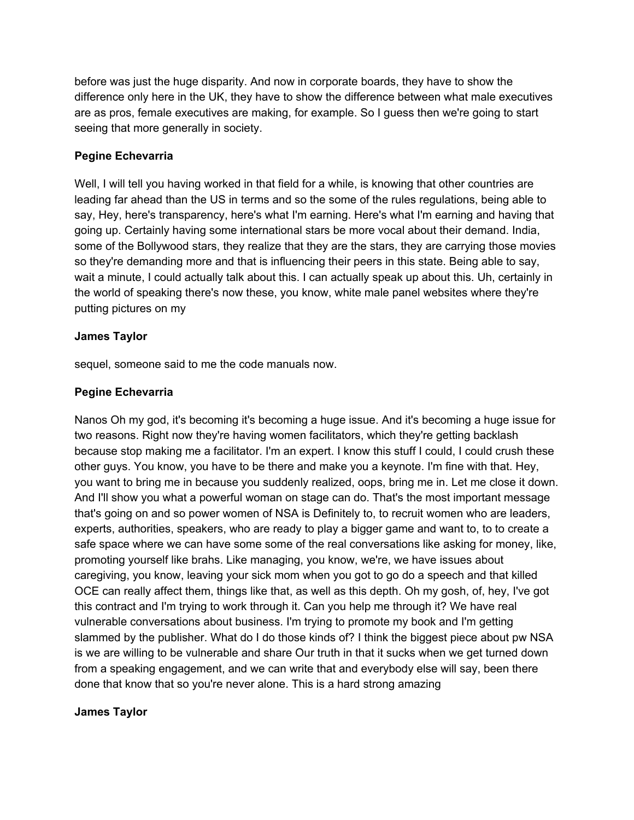before was just the huge disparity. And now in corporate boards, they have to show the difference only here in the UK, they have to show the difference between what male executives are as pros, female executives are making, for example. So I guess then we're going to start seeing that more generally in society.

# **Pegine Echevarria**

Well, I will tell you having worked in that field for a while, is knowing that other countries are leading far ahead than the US in terms and so the some of the rules regulations, being able to say, Hey, here's transparency, here's what I'm earning. Here's what I'm earning and having that going up. Certainly having some international stars be more vocal about their demand. India, some of the Bollywood stars, they realize that they are the stars, they are carrying those movies so they're demanding more and that is influencing their peers in this state. Being able to say, wait a minute, I could actually talk about this. I can actually speak up about this. Uh, certainly in the world of speaking there's now these, you know, white male panel websites where they're putting pictures on my

# **James Taylor**

sequel, someone said to me the code manuals now.

# **Pegine Echevarria**

Nanos Oh my god, it's becoming it's becoming a huge issue. And it's becoming a huge issue for two reasons. Right now they're having women facilitators, which they're getting backlash because stop making me a facilitator. I'm an expert. I know this stuff I could, I could crush these other guys. You know, you have to be there and make you a keynote. I'm fine with that. Hey, you want to bring me in because you suddenly realized, oops, bring me in. Let me close it down. And I'll show you what a powerful woman on stage can do. That's the most important message that's going on and so power women of NSA is Definitely to, to recruit women who are leaders, experts, authorities, speakers, who are ready to play a bigger game and want to, to to create a safe space where we can have some some of the real conversations like asking for money, like, promoting yourself like brahs. Like managing, you know, we're, we have issues about caregiving, you know, leaving your sick mom when you got to go do a speech and that killed OCE can really affect them, things like that, as well as this depth. Oh my gosh, of, hey, I've got this contract and I'm trying to work through it. Can you help me through it? We have real vulnerable conversations about business. I'm trying to promote my book and I'm getting slammed by the publisher. What do I do those kinds of? I think the biggest piece about pw NSA is we are willing to be vulnerable and share Our truth in that it sucks when we get turned down from a speaking engagement, and we can write that and everybody else will say, been there done that know that so you're never alone. This is a hard strong amazing

# **James Taylor**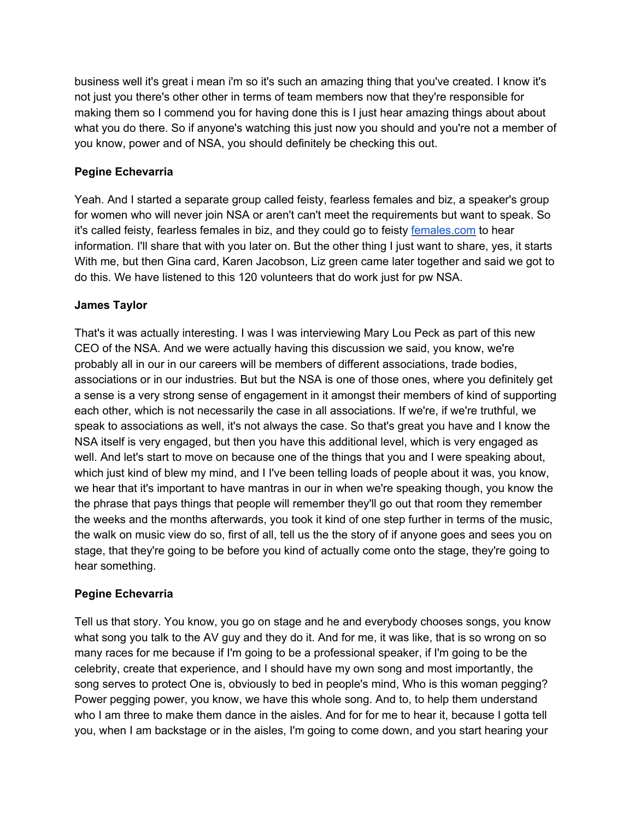business well it's great i mean i'm so it's such an amazing thing that you've created. I know it's not just you there's other other in terms of team members now that they're responsible for making them so I commend you for having done this is I just hear amazing things about about what you do there. So if anyone's watching this just now you should and you're not a member of you know, power and of NSA, you should definitely be checking this out.

# **Pegine Echevarria**

Yeah. And I started a separate group called feisty, fearless females and biz, a speaker's group for women who will never join NSA or aren't can't meet the requirements but want to speak. So it's called feisty, fearless females in biz, and they could go to feisty [females.com](https://www.female.com.au/) to hear information. I'll share that with you later on. But the other thing I just want to share, yes, it starts With me, but then Gina card, Karen Jacobson, Liz green came later together and said we got to do this. We have listened to this 120 volunteers that do work just for pw NSA.

# **James Taylor**

That's it was actually interesting. I was I was interviewing Mary Lou Peck as part of this new CEO of the NSA. And we were actually having this discussion we said, you know, we're probably all in our in our careers will be members of different associations, trade bodies, associations or in our industries. But but the NSA is one of those ones, where you definitely get a sense is a very strong sense of engagement in it amongst their members of kind of supporting each other, which is not necessarily the case in all associations. If we're, if we're truthful, we speak to associations as well, it's not always the case. So that's great you have and I know the NSA itself is very engaged, but then you have this additional level, which is very engaged as well. And let's start to move on because one of the things that you and I were speaking about, which just kind of blew my mind, and I I've been telling loads of people about it was, you know, we hear that it's important to have mantras in our in when we're speaking though, you know the the phrase that pays things that people will remember they'll go out that room they remember the weeks and the months afterwards, you took it kind of one step further in terms of the music, the walk on music view do so, first of all, tell us the the story of if anyone goes and sees you on stage, that they're going to be before you kind of actually come onto the stage, they're going to hear something.

# **Pegine Echevarria**

Tell us that story. You know, you go on stage and he and everybody chooses songs, you know what song you talk to the AV guy and they do it. And for me, it was like, that is so wrong on so many races for me because if I'm going to be a professional speaker, if I'm going to be the celebrity, create that experience, and I should have my own song and most importantly, the song serves to protect One is, obviously to bed in people's mind, Who is this woman pegging? Power pegging power, you know, we have this whole song. And to, to help them understand who I am three to make them dance in the aisles. And for for me to hear it, because I gotta tell you, when I am backstage or in the aisles, I'm going to come down, and you start hearing your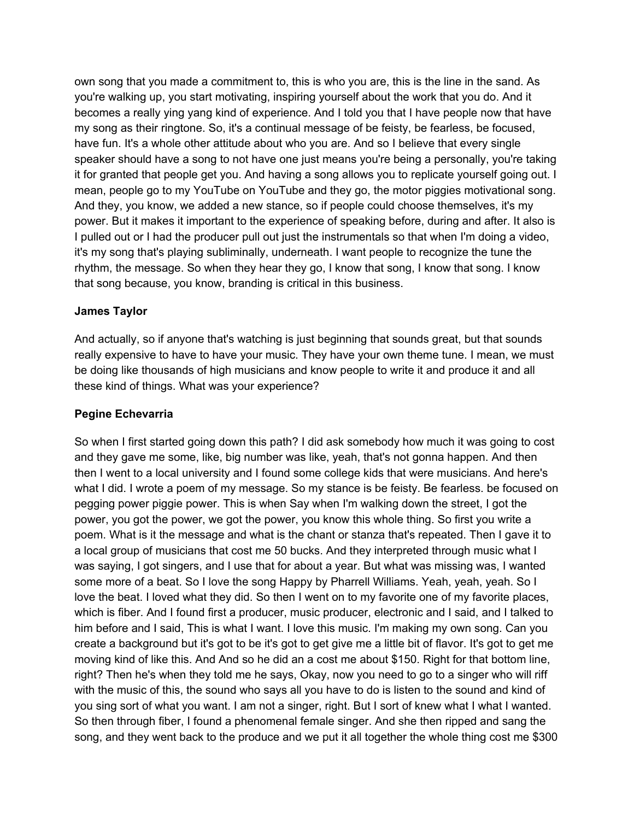own song that you made a commitment to, this is who you are, this is the line in the sand. As you're walking up, you start motivating, inspiring yourself about the work that you do. And it becomes a really ying yang kind of experience. And I told you that I have people now that have my song as their ringtone. So, it's a continual message of be feisty, be fearless, be focused, have fun. It's a whole other attitude about who you are. And so I believe that every single speaker should have a song to not have one just means you're being a personally, you're taking it for granted that people get you. And having a song allows you to replicate yourself going out. I mean, people go to my YouTube on YouTube and they go, the motor piggies motivational song. And they, you know, we added a new stance, so if people could choose themselves, it's my power. But it makes it important to the experience of speaking before, during and after. It also is I pulled out or I had the producer pull out just the instrumentals so that when I'm doing a video, it's my song that's playing subliminally, underneath. I want people to recognize the tune the rhythm, the message. So when they hear they go, I know that song, I know that song. I know that song because, you know, branding is critical in this business.

#### **James Taylor**

And actually, so if anyone that's watching is just beginning that sounds great, but that sounds really expensive to have to have your music. They have your own theme tune. I mean, we must be doing like thousands of high musicians and know people to write it and produce it and all these kind of things. What was your experience?

#### **Pegine Echevarria**

So when I first started going down this path? I did ask somebody how much it was going to cost and they gave me some, like, big number was like, yeah, that's not gonna happen. And then then I went to a local university and I found some college kids that were musicians. And here's what I did. I wrote a poem of my message. So my stance is be feisty. Be fearless. be focused on pegging power piggie power. This is when Say when I'm walking down the street, I got the power, you got the power, we got the power, you know this whole thing. So first you write a poem. What is it the message and what is the chant or stanza that's repeated. Then I gave it to a local group of musicians that cost me 50 bucks. And they interpreted through music what I was saying, I got singers, and I use that for about a year. But what was missing was, I wanted some more of a beat. So I love the song Happy by Pharrell Williams. Yeah, yeah, yeah. So I love the beat. I loved what they did. So then I went on to my favorite one of my favorite places, which is fiber. And I found first a producer, music producer, electronic and I said, and I talked to him before and I said, This is what I want. I love this music. I'm making my own song. Can you create a background but it's got to be it's got to get give me a little bit of flavor. It's got to get me moving kind of like this. And And so he did an a cost me about \$150. Right for that bottom line, right? Then he's when they told me he says, Okay, now you need to go to a singer who will riff with the music of this, the sound who says all you have to do is listen to the sound and kind of you sing sort of what you want. I am not a singer, right. But I sort of knew what I what I wanted. So then through fiber, I found a phenomenal female singer. And she then ripped and sang the song, and they went back to the produce and we put it all together the whole thing cost me \$300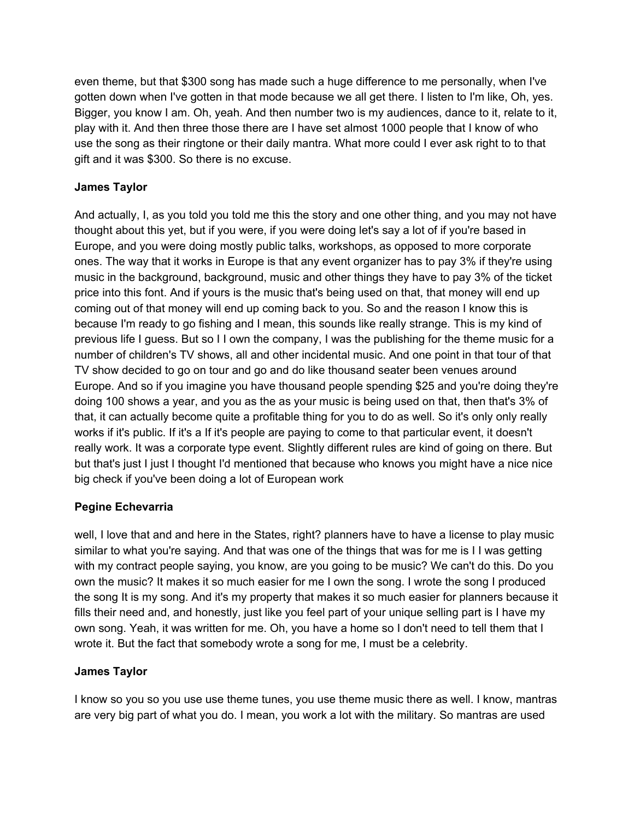even theme, but that \$300 song has made such a huge difference to me personally, when I've gotten down when I've gotten in that mode because we all get there. I listen to I'm like, Oh, yes. Bigger, you know I am. Oh, yeah. And then number two is my audiences, dance to it, relate to it, play with it. And then three those there are I have set almost 1000 people that I know of who use the song as their ringtone or their daily mantra. What more could I ever ask right to to that gift and it was \$300. So there is no excuse.

# **James Taylor**

And actually, I, as you told you told me this the story and one other thing, and you may not have thought about this yet, but if you were, if you were doing let's say a lot of if you're based in Europe, and you were doing mostly public talks, workshops, as opposed to more corporate ones. The way that it works in Europe is that any event organizer has to pay 3% if they're using music in the background, background, music and other things they have to pay 3% of the ticket price into this font. And if yours is the music that's being used on that, that money will end up coming out of that money will end up coming back to you. So and the reason I know this is because I'm ready to go fishing and I mean, this sounds like really strange. This is my kind of previous life I guess. But so I I own the company, I was the publishing for the theme music for a number of children's TV shows, all and other incidental music. And one point in that tour of that TV show decided to go on tour and go and do like thousand seater been venues around Europe. And so if you imagine you have thousand people spending \$25 and you're doing they're doing 100 shows a year, and you as the as your music is being used on that, then that's 3% of that, it can actually become quite a profitable thing for you to do as well. So it's only only really works if it's public. If it's a If it's people are paying to come to that particular event, it doesn't really work. It was a corporate type event. Slightly different rules are kind of going on there. But but that's just I just I thought I'd mentioned that because who knows you might have a nice nice big check if you've been doing a lot of European work

# **Pegine Echevarria**

well, I love that and and here in the States, right? planners have to have a license to play music similar to what you're saying. And that was one of the things that was for me is I I was getting with my contract people saying, you know, are you going to be music? We can't do this. Do you own the music? It makes it so much easier for me I own the song. I wrote the song I produced the song It is my song. And it's my property that makes it so much easier for planners because it fills their need and, and honestly, just like you feel part of your unique selling part is I have my own song. Yeah, it was written for me. Oh, you have a home so I don't need to tell them that I wrote it. But the fact that somebody wrote a song for me, I must be a celebrity.

# **James Taylor**

I know so you so you use use theme tunes, you use theme music there as well. I know, mantras are very big part of what you do. I mean, you work a lot with the military. So mantras are used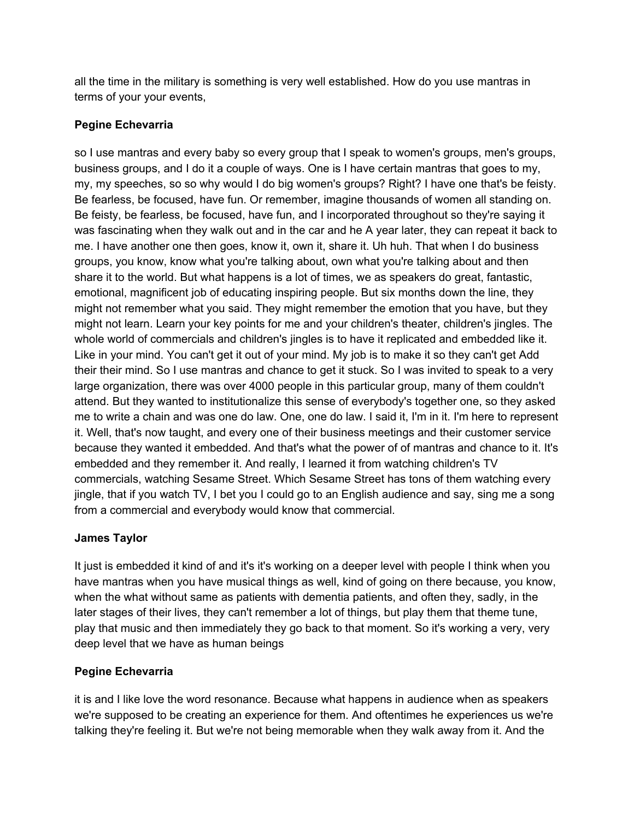all the time in the military is something is very well established. How do you use mantras in terms of your your events,

# **Pegine Echevarria**

so I use mantras and every baby so every group that I speak to women's groups, men's groups, business groups, and I do it a couple of ways. One is I have certain mantras that goes to my, my, my speeches, so so why would I do big women's groups? Right? I have one that's be feisty. Be fearless, be focused, have fun. Or remember, imagine thousands of women all standing on. Be feisty, be fearless, be focused, have fun, and I incorporated throughout so they're saying it was fascinating when they walk out and in the car and he A year later, they can repeat it back to me. I have another one then goes, know it, own it, share it. Uh huh. That when I do business groups, you know, know what you're talking about, own what you're talking about and then share it to the world. But what happens is a lot of times, we as speakers do great, fantastic, emotional, magnificent job of educating inspiring people. But six months down the line, they might not remember what you said. They might remember the emotion that you have, but they might not learn. Learn your key points for me and your children's theater, children's jingles. The whole world of commercials and children's jingles is to have it replicated and embedded like it. Like in your mind. You can't get it out of your mind. My job is to make it so they can't get Add their their mind. So I use mantras and chance to get it stuck. So I was invited to speak to a very large organization, there was over 4000 people in this particular group, many of them couldn't attend. But they wanted to institutionalize this sense of everybody's together one, so they asked me to write a chain and was one do law. One, one do law. I said it, I'm in it. I'm here to represent it. Well, that's now taught, and every one of their business meetings and their customer service because they wanted it embedded. And that's what the power of of mantras and chance to it. It's embedded and they remember it. And really, I learned it from watching children's TV commercials, watching Sesame Street. Which Sesame Street has tons of them watching every jingle, that if you watch TV, I bet you I could go to an English audience and say, sing me a song from a commercial and everybody would know that commercial.

# **James Taylor**

It just is embedded it kind of and it's it's working on a deeper level with people I think when you have mantras when you have musical things as well, kind of going on there because, you know, when the what without same as patients with dementia patients, and often they, sadly, in the later stages of their lives, they can't remember a lot of things, but play them that theme tune, play that music and then immediately they go back to that moment. So it's working a very, very deep level that we have as human beings

# **Pegine Echevarria**

it is and I like love the word resonance. Because what happens in audience when as speakers we're supposed to be creating an experience for them. And oftentimes he experiences us we're talking they're feeling it. But we're not being memorable when they walk away from it. And the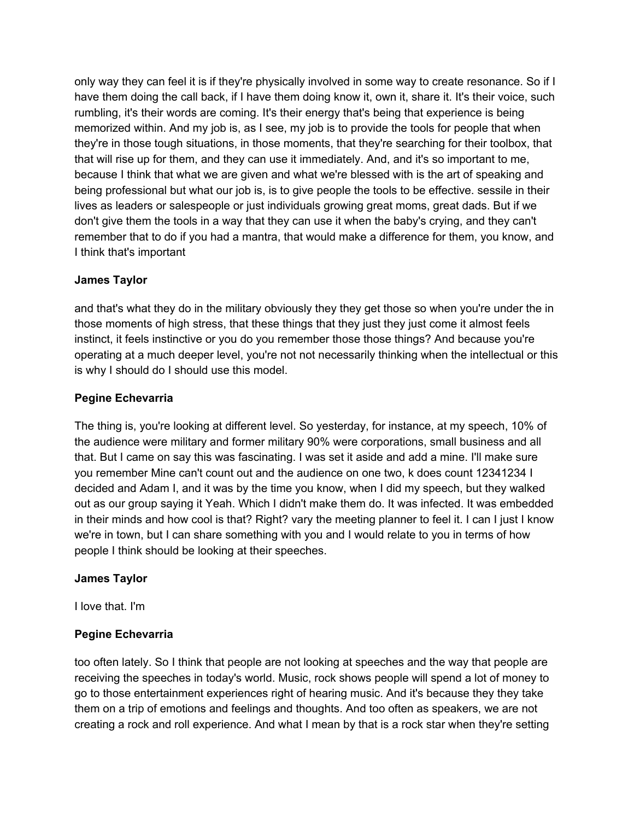only way they can feel it is if they're physically involved in some way to create resonance. So if I have them doing the call back, if I have them doing know it, own it, share it. It's their voice, such rumbling, it's their words are coming. It's their energy that's being that experience is being memorized within. And my job is, as I see, my job is to provide the tools for people that when they're in those tough situations, in those moments, that they're searching for their toolbox, that that will rise up for them, and they can use it immediately. And, and it's so important to me, because I think that what we are given and what we're blessed with is the art of speaking and being professional but what our job is, is to give people the tools to be effective. sessile in their lives as leaders or salespeople or just individuals growing great moms, great dads. But if we don't give them the tools in a way that they can use it when the baby's crying, and they can't remember that to do if you had a mantra, that would make a difference for them, you know, and I think that's important

#### **James Taylor**

and that's what they do in the military obviously they they get those so when you're under the in those moments of high stress, that these things that they just they just come it almost feels instinct, it feels instinctive or you do you remember those those things? And because you're operating at a much deeper level, you're not not necessarily thinking when the intellectual or this is why I should do I should use this model.

#### **Pegine Echevarria**

The thing is, you're looking at different level. So yesterday, for instance, at my speech, 10% of the audience were military and former military 90% were corporations, small business and all that. But I came on say this was fascinating. I was set it aside and add a mine. I'll make sure you remember Mine can't count out and the audience on one two, k does count 12341234 I decided and Adam I, and it was by the time you know, when I did my speech, but they walked out as our group saying it Yeah. Which I didn't make them do. It was infected. It was embedded in their minds and how cool is that? Right? vary the meeting planner to feel it. I can I just I know we're in town, but I can share something with you and I would relate to you in terms of how people I think should be looking at their speeches.

#### **James Taylor**

I love that. I'm

# **Pegine Echevarria**

too often lately. So I think that people are not looking at speeches and the way that people are receiving the speeches in today's world. Music, rock shows people will spend a lot of money to go to those entertainment experiences right of hearing music. And it's because they they take them on a trip of emotions and feelings and thoughts. And too often as speakers, we are not creating a rock and roll experience. And what I mean by that is a rock star when they're setting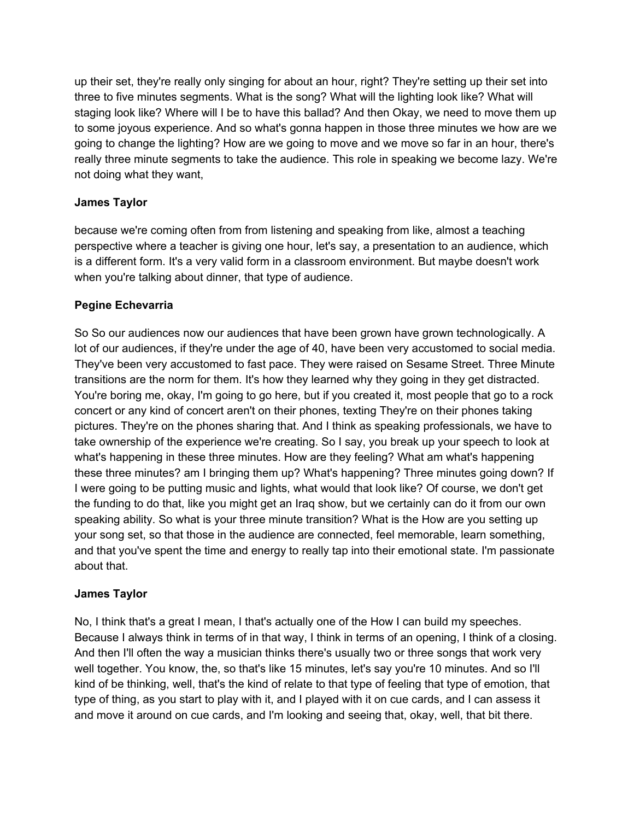up their set, they're really only singing for about an hour, right? They're setting up their set into three to five minutes segments. What is the song? What will the lighting look like? What will staging look like? Where will I be to have this ballad? And then Okay, we need to move them up to some joyous experience. And so what's gonna happen in those three minutes we how are we going to change the lighting? How are we going to move and we move so far in an hour, there's really three minute segments to take the audience. This role in speaking we become lazy. We're not doing what they want,

# **James Taylor**

because we're coming often from from listening and speaking from like, almost a teaching perspective where a teacher is giving one hour, let's say, a presentation to an audience, which is a different form. It's a very valid form in a classroom environment. But maybe doesn't work when you're talking about dinner, that type of audience.

# **Pegine Echevarria**

So So our audiences now our audiences that have been grown have grown technologically. A lot of our audiences, if they're under the age of 40, have been very accustomed to social media. They've been very accustomed to fast pace. They were raised on Sesame Street. Three Minute transitions are the norm for them. It's how they learned why they going in they get distracted. You're boring me, okay, I'm going to go here, but if you created it, most people that go to a rock concert or any kind of concert aren't on their phones, texting They're on their phones taking pictures. They're on the phones sharing that. And I think as speaking professionals, we have to take ownership of the experience we're creating. So I say, you break up your speech to look at what's happening in these three minutes. How are they feeling? What am what's happening these three minutes? am I bringing them up? What's happening? Three minutes going down? If I were going to be putting music and lights, what would that look like? Of course, we don't get the funding to do that, like you might get an Iraq show, but we certainly can do it from our own speaking ability. So what is your three minute transition? What is the How are you setting up your song set, so that those in the audience are connected, feel memorable, learn something, and that you've spent the time and energy to really tap into their emotional state. I'm passionate about that.

# **James Taylor**

No, I think that's a great I mean, I that's actually one of the How I can build my speeches. Because I always think in terms of in that way, I think in terms of an opening, I think of a closing. And then I'll often the way a musician thinks there's usually two or three songs that work very well together. You know, the, so that's like 15 minutes, let's say you're 10 minutes. And so I'll kind of be thinking, well, that's the kind of relate to that type of feeling that type of emotion, that type of thing, as you start to play with it, and I played with it on cue cards, and I can assess it and move it around on cue cards, and I'm looking and seeing that, okay, well, that bit there.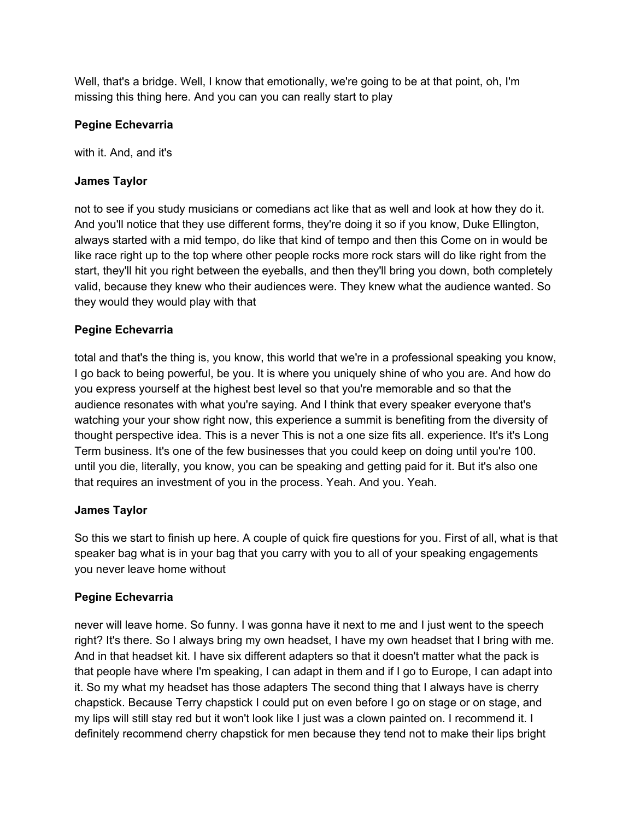Well, that's a bridge. Well, I know that emotionally, we're going to be at that point, oh, I'm missing this thing here. And you can you can really start to play

#### **Pegine Echevarria**

with it. And, and it's

#### **James Taylor**

not to see if you study musicians or comedians act like that as well and look at how they do it. And you'll notice that they use different forms, they're doing it so if you know, Duke Ellington, always started with a mid tempo, do like that kind of tempo and then this Come on in would be like race right up to the top where other people rocks more rock stars will do like right from the start, they'll hit you right between the eyeballs, and then they'll bring you down, both completely valid, because they knew who their audiences were. They knew what the audience wanted. So they would they would play with that

#### **Pegine Echevarria**

total and that's the thing is, you know, this world that we're in a professional speaking you know, I go back to being powerful, be you. It is where you uniquely shine of who you are. And how do you express yourself at the highest best level so that you're memorable and so that the audience resonates with what you're saying. And I think that every speaker everyone that's watching your your show right now, this experience a summit is benefiting from the diversity of thought perspective idea. This is a never This is not a one size fits all. experience. It's it's Long Term business. It's one of the few businesses that you could keep on doing until you're 100. until you die, literally, you know, you can be speaking and getting paid for it. But it's also one that requires an investment of you in the process. Yeah. And you. Yeah.

#### **James Taylor**

So this we start to finish up here. A couple of quick fire questions for you. First of all, what is that speaker bag what is in your bag that you carry with you to all of your speaking engagements you never leave home without

# **Pegine Echevarria**

never will leave home. So funny. I was gonna have it next to me and I just went to the speech right? It's there. So I always bring my own headset, I have my own headset that I bring with me. And in that headset kit. I have six different adapters so that it doesn't matter what the pack is that people have where I'm speaking, I can adapt in them and if I go to Europe, I can adapt into it. So my what my headset has those adapters The second thing that I always have is cherry chapstick. Because Terry chapstick I could put on even before I go on stage or on stage, and my lips will still stay red but it won't look like I just was a clown painted on. I recommend it. I definitely recommend cherry chapstick for men because they tend not to make their lips bright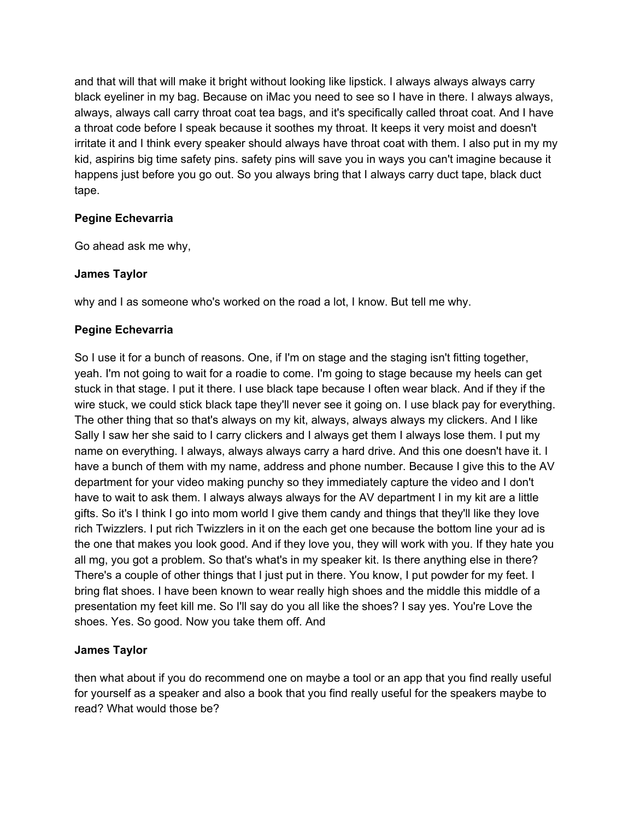and that will that will make it bright without looking like lipstick. I always always always carry black eyeliner in my bag. Because on iMac you need to see so I have in there. I always always, always, always call carry throat coat tea bags, and it's specifically called throat coat. And I have a throat code before I speak because it soothes my throat. It keeps it very moist and doesn't irritate it and I think every speaker should always have throat coat with them. I also put in my my kid, aspirins big time safety pins. safety pins will save you in ways you can't imagine because it happens just before you go out. So you always bring that I always carry duct tape, black duct tape.

#### **Pegine Echevarria**

Go ahead ask me why,

#### **James Taylor**

why and I as someone who's worked on the road a lot, I know. But tell me why.

#### **Pegine Echevarria**

So I use it for a bunch of reasons. One, if I'm on stage and the staging isn't fitting together, yeah. I'm not going to wait for a roadie to come. I'm going to stage because my heels can get stuck in that stage. I put it there. I use black tape because I often wear black. And if they if the wire stuck, we could stick black tape they'll never see it going on. I use black pay for everything. The other thing that so that's always on my kit, always, always always my clickers. And I like Sally I saw her she said to I carry clickers and I always get them I always lose them. I put my name on everything. I always, always always carry a hard drive. And this one doesn't have it. I have a bunch of them with my name, address and phone number. Because I give this to the AV department for your video making punchy so they immediately capture the video and I don't have to wait to ask them. I always always always for the AV department I in my kit are a little gifts. So it's I think I go into mom world I give them candy and things that they'll like they love rich Twizzlers. I put rich Twizzlers in it on the each get one because the bottom line your ad is the one that makes you look good. And if they love you, they will work with you. If they hate you all mg, you got a problem. So that's what's in my speaker kit. Is there anything else in there? There's a couple of other things that I just put in there. You know, I put powder for my feet. I bring flat shoes. I have been known to wear really high shoes and the middle this middle of a presentation my feet kill me. So I'll say do you all like the shoes? I say yes. You're Love the shoes. Yes. So good. Now you take them off. And

# **James Taylor**

then what about if you do recommend one on maybe a tool or an app that you find really useful for yourself as a speaker and also a book that you find really useful for the speakers maybe to read? What would those be?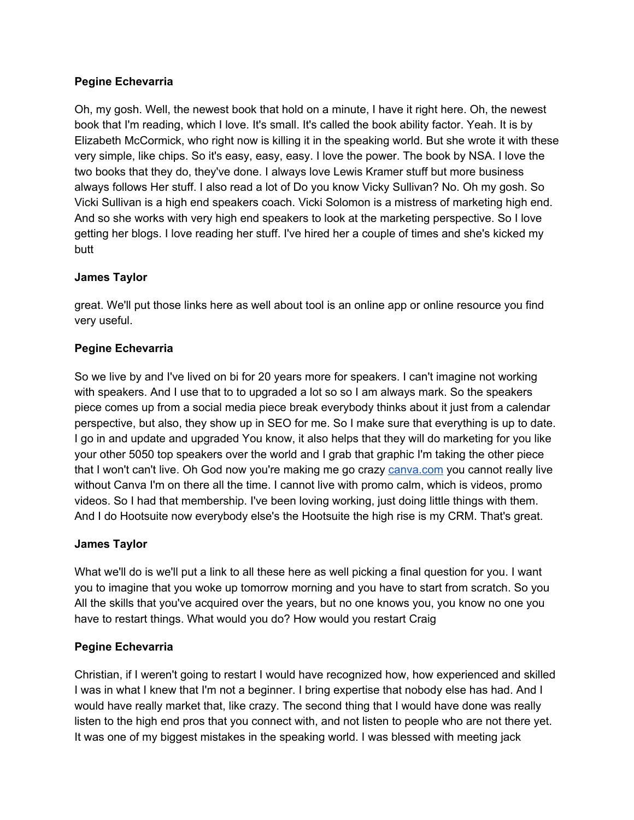#### **Pegine Echevarria**

Oh, my gosh. Well, the newest book that hold on a minute, I have it right here. Oh, the newest book that I'm reading, which I love. It's small. It's called the book ability factor. Yeah. It is by Elizabeth McCormick, who right now is killing it in the speaking world. But she wrote it with these very simple, like chips. So it's easy, easy, easy. I love the power. The book by NSA. I love the two books that they do, they've done. I always love Lewis Kramer stuff but more business always follows Her stuff. I also read a lot of Do you know Vicky Sullivan? No. Oh my gosh. So Vicki Sullivan is a high end speakers coach. Vicki Solomon is a mistress of marketing high end. And so she works with very high end speakers to look at the marketing perspective. So I love getting her blogs. I love reading her stuff. I've hired her a couple of times and she's kicked my butt

# **James Taylor**

great. We'll put those links here as well about tool is an online app or online resource you find very useful.

#### **Pegine Echevarria**

So we live by and I've lived on bi for 20 years more for speakers. I can't imagine not working with speakers. And I use that to to upgraded a lot so so I am always mark. So the speakers piece comes up from a social media piece break everybody thinks about it just from a calendar perspective, but also, they show up in SEO for me. So I make sure that everything is up to date. I go in and update and upgraded You know, it also helps that they will do marketing for you like your other 5050 top speakers over the world and I grab that graphic I'm taking the other piece that I won't can't live. Oh God now you're making me go craz[y](https://www.canva.com/) [canva.com](https://www.canva.com/) you cannot really live without Canva I'm on there all the time. I cannot live with promo calm, which is videos, promo videos. So I had that membership. I've been loving working, just doing little things with them. And I do Hootsuite now everybody else's the Hootsuite the high rise is my CRM. That's great.

# **James Taylor**

What we'll do is we'll put a link to all these here as well picking a final question for you. I want you to imagine that you woke up tomorrow morning and you have to start from scratch. So you All the skills that you've acquired over the years, but no one knows you, you know no one you have to restart things. What would you do? How would you restart Craig

# **Pegine Echevarria**

Christian, if I weren't going to restart I would have recognized how, how experienced and skilled I was in what I knew that I'm not a beginner. I bring expertise that nobody else has had. And I would have really market that, like crazy. The second thing that I would have done was really listen to the high end pros that you connect with, and not listen to people who are not there yet. It was one of my biggest mistakes in the speaking world. I was blessed with meeting jack